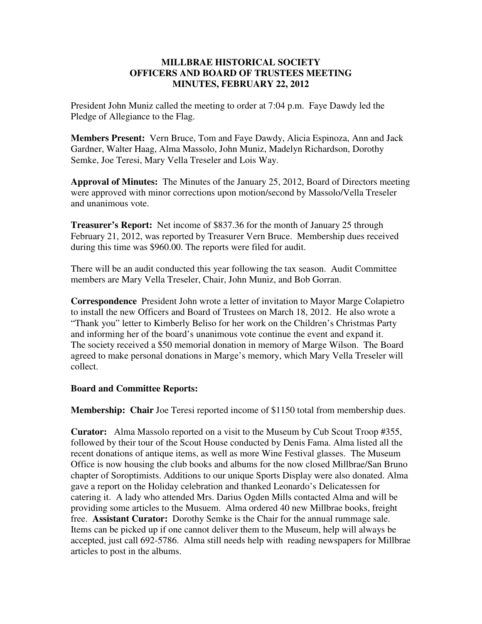# **MILLBRAE HISTORICAL SOCIETY OFFICERS AND BOARD OF TRUSTEES MEETING MINUTES, FEBRUARY 22, 2012**

President John Muniz called the meeting to order at 7:04 p.m. Faye Dawdy led the Pledge of Allegiance to the Flag.

**Members Present:** Vern Bruce, Tom and Faye Dawdy, Alicia Espinoza, Ann and Jack Gardner, Walter Haag, Alma Massolo, John Muniz, Madelyn Richardson, Dorothy Semke, Joe Teresi, Mary Vella Treseler and Lois Way.

**Approval of Minutes:** The Minutes of the January 25, 2012, Board of Directors meeting were approved with minor corrections upon motion/second by Massolo/Vella Treseler and unanimous vote.

**Treasurer's Report:** Net income of \$837.36 for the month of January 25 through February 21, 2012, was reported by Treasurer Vern Bruce. Membership dues received during this time was \$960.00. The reports were filed for audit.

There will be an audit conducted this year following the tax season. Audit Committee members are Mary Vella Treseler, Chair, John Muniz, and Bob Gorran.

**Correspondence** President John wrote a letter of invitation to Mayor Marge Colapietro to install the new Officers and Board of Trustees on March 18, 2012. He also wrote a "Thank you" letter to Kimberly Beliso for her work on the Children's Christmas Party and informing her of the board's unanimous vote continue the event and expand it. The society received a \$50 memorial donation in memory of Marge Wilson. The Board agreed to make personal donations in Marge's memory, which Mary Vella Treseler will collect.

# **Board and Committee Reports:**

**Membership: Chair** Joe Teresi reported income of \$1150 total from membership dues.

**Curator:** Alma Massolo reported on a visit to the Museum by Cub Scout Troop #355, followed by their tour of the Scout House conducted by Denis Fama. Alma listed all the recent donations of antique items, as well as more Wine Festival glasses. The Museum Office is now housing the club books and albums for the now closed Millbrae/San Bruno chapter of Soroptimists. Additions to our unique Sports Display were also donated. Alma gave a report on the Holiday celebration and thanked Leonardo's Delicatessen for catering it. A lady who attended Mrs. Darius Ogden Mills contacted Alma and will be providing some articles to the Musuem. Alma ordered 40 new Millbrae books, freight free. **Assistant Curator:** Dorothy Semke is the Chair for the annual rummage sale. Items can be picked up if one cannot deliver them to the Museum, help will always be accepted, just call 692-5786. Alma still needs help with reading newspapers for Millbrae articles to post in the albums.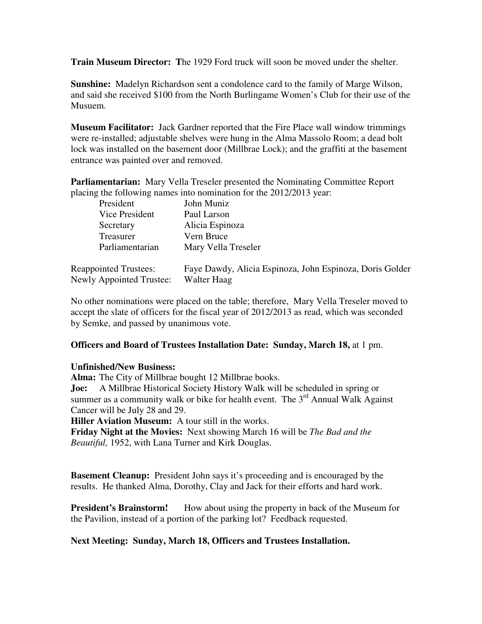**Train Museum Director: T**he 1929 Ford truck will soon be moved under the shelter.

**Sunshine:** Madelyn Richardson sent a condolence card to the family of Marge Wilson, and said she received \$100 from the North Burlingame Women's Club for their use of the Musuem.

**Museum Facilitator:** Jack Gardner reported that the Fire Place wall window trimmings were re-installed; adjustable shelves were hung in the Alma Massolo Room; a dead bolt lock was installed on the basement door (Millbrae Lock); and the graffiti at the basement entrance was painted over and removed.

**Parliamentarian:** Mary Vella Treseler presented the Nominating Committee Report placing the following names into nomination for the 2012/2013 year:

| President                       | John Muniz                                               |
|---------------------------------|----------------------------------------------------------|
| Vice President                  | Paul Larson                                              |
| Secretary                       | Alicia Espinoza                                          |
| Treasurer                       | Vern Bruce                                               |
| Parliamentarian                 | Mary Vella Treseler                                      |
|                                 |                                                          |
| <b>Reappointed Trustees:</b>    | Faye Dawdy, Alicia Espinoza, John Espinoza, Doris Golder |
| <b>Newly Appointed Trustee:</b> | Walter Haag                                              |

No other nominations were placed on the table; therefore, Mary Vella Treseler moved to accept the slate of officers for the fiscal year of 2012/2013 as read, which was seconded by Semke, and passed by unanimous vote.

# **Officers and Board of Trustees Installation Date: Sunday, March 18,** at 1 pm.

### **Unfinished/New Business:**

**Alma:** The City of Millbrae bought 12 Millbrae books.

**Joe:** A Millbrae Historical Society History Walk will be scheduled in spring or summer as a community walk or bike for health event. The  $3<sup>rd</sup>$  Annual Walk Against Cancer will be July 28 and 29.

**Hiller Aviation Museum:** A tour still in the works.

**Friday Night at the Movies:** Next showing March 16 will be *The Bad and the Beautiful,* 1952, with Lana Turner and Kirk Douglas.

**Basement Cleanup:** President John says it's proceeding and is encouraged by the results. He thanked Alma, Dorothy, Clay and Jack for their efforts and hard work.

**President's Brainstorm!** How about using the property in back of the Museum for the Pavilion, instead of a portion of the parking lot? Feedback requested.

# **Next Meeting: Sunday, March 18, Officers and Trustees Installation.**